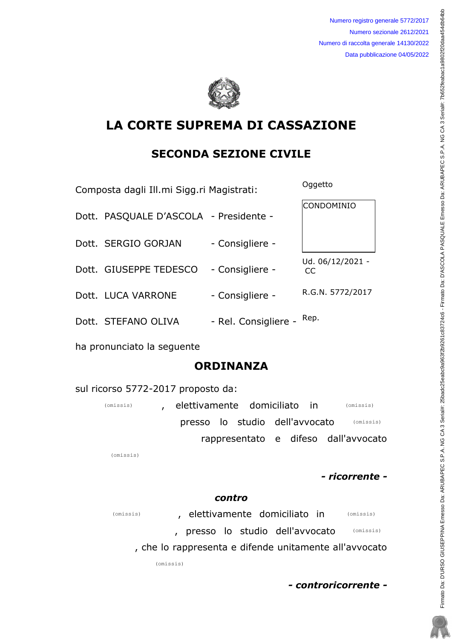Numero registro generale 5772/2017 Numero sezionale 2612/2021 Numero di raccolta generale 14130/2022 Data pubblicazione 04/05/2022



# LA CORTE SUPREMA DI CASSAZIONE

## SECONDA SEZIONE CIVILE

Composta dagli Ill.mi Sigg.ri Magistrati: Oggetto

| Dott. PASQUALE D'ASCOLA - Presidente - |                      | CONDOMINIO             |
|----------------------------------------|----------------------|------------------------|
| Dott. SERGIO GORJAN                    | - Consigliere -      |                        |
| Dott. GIUSEPPE TEDESCO                 | - Consigliere -      | Ud. 06/12/2021 -<br>CC |
| Dott. LUCA VARRONE                     | - Consigliere -      | R.G.N. 5772/2017       |
| Dott. STEFANO OLIVA                    | - Rel. Consigliere - | Rep.                   |

ha pronunciato la seguente

## ORDINANZA

sul ricorso 5772-2017 proposto da:

| (omissis) | elettivamente domiciliato in |  |                                | (omissis)                            |
|-----------|------------------------------|--|--------------------------------|--------------------------------------|
|           |                              |  | presso lo studio dell'avvocato | (omissis)                            |
|           |                              |  |                                | rappresentato e difeso dall'avvocato |

(omissis)

- ricorrente -

### contro

, elettivamente domiciliato in presso lo studio dell'avvocato (omissis) (omissis) (omissis)

, che lo rappresenta e difende unitamente all'avvocato

(omissis)

- controricorrente -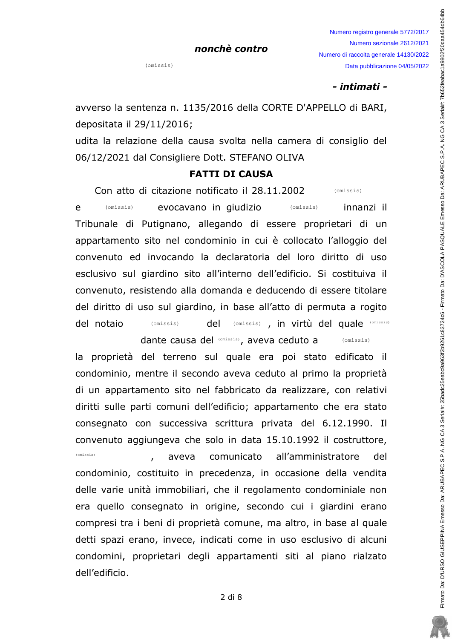$(missis)$ 

#### - intimati -

avverso la sentenza n. 1135/2016 della CORTE D'APPELLO di BARI, depositata il 29/11/2016;

udita la relazione della causa svolta nella camera di consiglio del 06/12/2021 dal Consigliere Dott. STEFANO OLIVA

### **FATTI DI CAUSA**

Con atto di citazione notificato il 28.11.2002 (omissis)

evocavano in giudizio e  $(omissis)$ (omissis) innanzi il Tribunale di Putignano, allegando di essere proprietari di un appartamento sito nel condominio in cui è collocato l'alloggio del convenuto ed invocando la declaratoria del loro diritto di uso esclusivo sul giardino sito all'interno dell'edificio. Si costituiva il convenuto, resistendo alla domanda e deducendo di essere titolare del diritto di uso sul giardino, in base all'atto di permuta a rogito (omissis), in virtù del quale (omissis) del notaio (omissis) del

> dante causa del (Omissis), aveva ceduto a  $(omissis)$

la proprietà del terreno sul quale era poi stato edificato il condominio, mentre il secondo aveva ceduto al primo la proprietà di un appartamento sito nel fabbricato da realizzare, con relativi diritti sulle parti comuni dell'edificio; appartamento che era stato consegnato con successiva scrittura privata del 6.12.1990. Il convenuto aggiungeva che solo in data 15.10.1992 il costruttore, (omissis) comunicato all'amministratore aveva del condominio, costituito in precedenza, in occasione della vendita delle varie unità immobiliari, che il regolamento condominiale non era quello consegnato in origine, secondo cui i giardini erano compresi tra i beni di proprietà comune, ma altro, in base al quale detti spazi erano, invece, indicati come in uso esclusivo di alcuni condomini, proprietari degli appartamenti siti al piano rialzato dell'edificio.

 $2$  di  $8$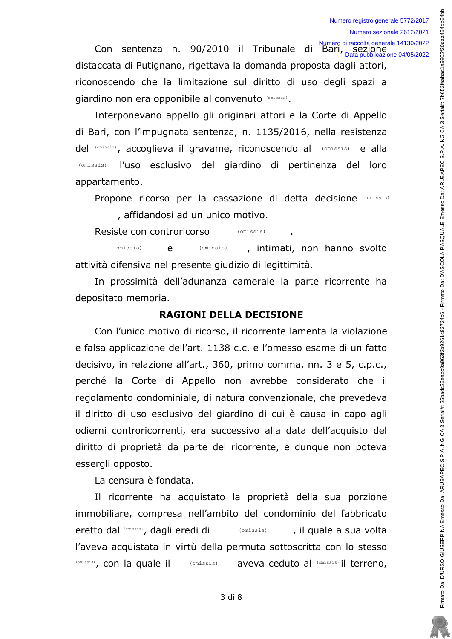Con sentenza n. 90/2010 il Tribunale di Bari, sezione<br>Con sentenza n. 90/2010 il Tribunale di Bari, sezione distaccata di Putignano, rigettava la domanda proposta dagli attori, riconoscendo che la limitazione sul diritto di uso degli spazi a giardino non era opponibile al convenuto (Omissis).

Interponevano appello gli originari attori e la Corte di Appello di Bari, con l'impugnata sentenza, n. 1135/2016, nella resistenza del (Omissis), accoglieva il gravame, riconoscendo al (Omissis) e alla (omissis) l'uso esclusivo del giardino di pertinenza del loro appartamento.

Propone ricorso per la cassazione di detta decisione (Omissis) , affidandosi ad un unico motivo.

Resiste con controricorso (omissis)

(omissis)  $(omissis)$ , intimati, non hanno svolto  $\mathbf{e}$ attività difensiva nel presente giudizio di legittimità.

In prossimità dell'adunanza camerale la parte ricorrente ha depositato memoria.

### **RAGIONI DELLA DECISIONE**

Con l'unico motivo di ricorso, il ricorrente lamenta la violazione e falsa applicazione dell'art. 1138 c.c. e l'omesso esame di un fatto decisivo, in relazione all'art., 360, primo comma, nn. 3 e 5, c.p.c., perché la Corte di Appello non avrebbe considerato che il regolamento condominiale, di natura convenzionale, che prevedeva il diritto di uso esclusivo del giardino di cui è causa in capo agli odierni controricorrenti, era successivo alla data dell'acquisto del diritto di proprietà da parte del ricorrente, e dunque non poteva essergli opposto.

La censura è fondata.

Il ricorrente ha acquistato la proprietà della sua porzione immobiliare, compresa nell'ambito del condominio del fabbricato eretto dal (omissis), dagli eredi di  $(omissis)$ , il quale a sua volta l'aveva acquistata in virtù della permuta sottoscritta con lo stesso (Omissis), con la quale il (omissis) aveva ceduto al (Omissis) il terreno,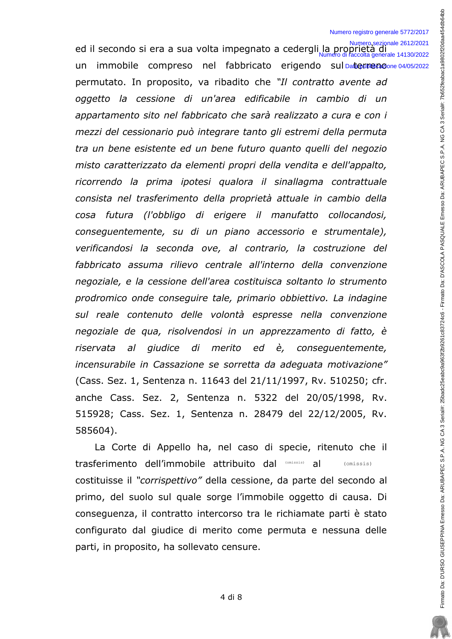#### Numero registro generale 5772/2017

Numero sezionale 2612/2021<br>Led il secondo si era a sua volta impegnato a cedergli la proprietà di un immobile compreso nel fabbricato erigendo sul Daterreno.com 04/05/2022 permutato. In proposito, va ribadito che "Il contratto avente ad oggetto la cessione di un'area edificabile in cambio di un appartamento sito nel fabbricato che sarà realizzato a cura e con i mezzi del cessionario può integrare tanto gli estremi della permuta tra un bene esistente ed un bene futuro quanto quelli del negozio misto caratterizzato da elementi propri della vendita e dell'appalto, ricorrendo la prima ipotesi qualora il sinallagma contrattuale consista nel trasferimento della proprietà attuale in cambio della cosa futura (l'obbligo di erigere il manufatto collocandosi, consequentemente, su di un piano accessorio e strumentale), verificandosi la seconda ove, al contrario, la costruzione del fabbricato assuma rilievo centrale all'interno della convenzione pegoziale, e la cessione dell'area costituisca soltanto lo strumento prodromico onde consequire tale, primario obbiettivo. La indagine sul reale contenuto delle volontà espresse nella convenzione negoziale de qua, risolvendosi in un apprezzamento di fatto, è riservata al giudice di merito ed è, consequentemente, incensurabile in Cassazione se sorretta da adequata motivazione" (Cass. Sez. 1, Sentenza n. 11643 del 21/11/1997, Rv. 510250; cfr. anche Cass. Sez. 2, Sentenza n. 5322 del 20/05/1998, Rv. 515928; Cass. Sez. 1, Sentenza n. 28479 del 22/12/2005, Rv. 585604). Numero di raccolta generale 14130/2022

La Corte di Appello ha, nel caso di specie, ritenuto che il trasferimento dell'immobile attribuito dal (Omissis) al (Omissis) costituisse il "corrispettivo" della cessione, da parte del secondo al primo, del suolo sul quale sorge l'immobile oggetto di causa. Di consequenza, il contratto intercorso tra le richiamate parti è stato configurato dal giudice di merito come permuta e nessuna delle parti, in proposito, ha sollevato censure.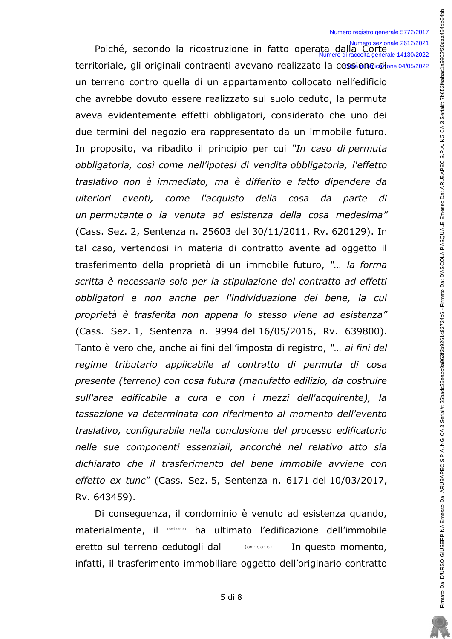Poiché, secondo la ricostruzione in fatto operata dalla Corte territoriale, gli originali contraenti avevano realizzato la cessione chione 04/05/2022 un terreno contro quella di un appartamento collocato nell'edificio che avrebbe dovuto essere realizzato sul suolo ceduto, la permuta aveva evidentemente effetti obbligatori, considerato che uno dei due termini del negozio era rappresentato da un immobile futuro. In proposito, va ribadito il principio per cui "In caso di permuta obbligatoria, così come nell'ipotesi di vendita obbligatoria, l'effetto traslativo non è immediato, ma è differito e fatto dipendere da ulteriori eventi, come l'acquisto della cosa da parte di un permutante o la venuta ad esistenza della cosa medesima" (Cass. Sez. 2, Sentenza n. 25603 del 30/11/2011, Rv. 620129). In tal caso, vertendosi in materia di contratto avente ad oggetto il trasferimento della proprietà di un immobile futuro, "... la forma scritta è necessaria solo per la stipulazione del contratto ad effetti obbligatori e non anche per l'individuazione del bene, la cui proprietà è trasferita non appena lo stesso viene ad esistenza" (Cass. Sez. 1, Sentenza n. 9994 del 16/05/2016, Rv. 639800). Tanto è vero che, anche ai fini dell'imposta di registro, "... ai fini del regime tributario applicabile al contratto di permuta di cosa presente (terreno) con cosa futura (manufatto edilizio, da costruire sull'area edificabile a cura e con i mezzi dell'acquirente), la tassazione va determinata con riferimento al momento dell'evento traslativo, configurabile nella conclusione del processo edificatorio nelle sue componenti essenziali, ancorchè nel relativo atto sia dichiarato che il trasferimento del bene immobile avviene con effetto ex tunc" (Cass. Sez. 5, Sentenza n. 6171 del 10/03/2017, Rv. 643459).

Di conseguenza, il condominio è venuto ad esistenza quando, materialmente, il (Omissis) ha ultimato l'edificazione dell'immobile eretto sul terreno cedutogli dal  $(omissis)$ In questo momento, infatti, il trasferimento immobiliare oggetto dell'originario contratto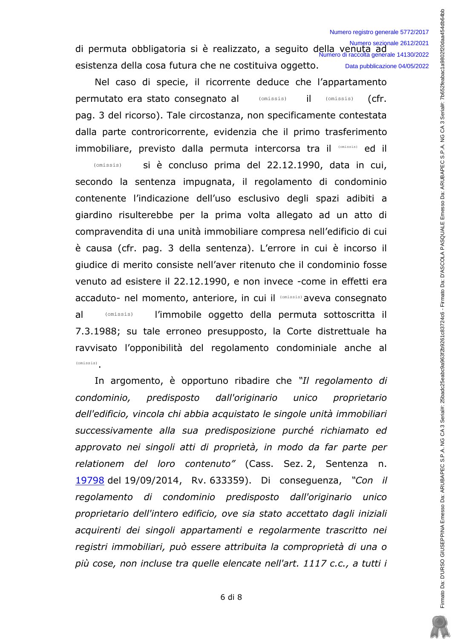di permuta obbligatoria si è realizzato, a seguito della venuta ad<br><sup>Numero di raccolta generale 14130/2022</sup> esistenza della cosa futura che ne costituiva oggetto. Data pubblicazione 04/05/2022

Nel caso di specie, il ricorrente deduce che l'appartamento permutato era stato consegnato al (omissis) iL. (omissis) (cfr. pag. 3 del ricorso). Tale circostanza, non specificamente contestata dalla parte controricorrente, evidenzia che il primo trasferimento immobiliare, previsto dalla permuta intercorsa tra il (Omissis) ed il

(omissis) si è concluso prima del 22.12.1990, data in cui, secondo la sentenza impugnata, il regolamento di condominio contenente l'indicazione dell'uso esclusivo degli spazi adibiti a giardino risulterebbe per la prima volta allegato ad un atto di compravendita di una unità immobiliare compresa nell'edificio di cui è causa (cfr. pag. 3 della sentenza). L'errore in cui è incorso il giudice di merito consiste nell'aver ritenuto che il condominio fosse venuto ad esistere il 22.12.1990, e non invece -come in effetti era accaduto- nel momento, anteriore, in cui il (Omissis) aveva consegnato al l'immobile oggetto della permuta sottoscritta il  $(omissis)$ 7.3.1988; su tale erroneo presupposto, la Corte distrettuale ha ravvisato l'opponibilità del regolamento condominiale anche al  $(omissis)$ 

In argomento, è opportuno ribadire che "Il regolamento di condominio, predisposto dall'originario unico proprietario dell'edificio, vincola chi abbia acquistato le singole unità immobiliari successivamente alla sua predisposizione purché richiamato ed approvato nei singoli atti di proprietà, in modo da far parte per relationem del loro contenuto" (Cass. Sez. 2, Sentenza n. 19798 del 19/09/2014, Rv. 633359). Di conseguenza, "Con il regolamento di condominio predisposto dall'originario unico proprietario dell'intero edificio, ove sia stato accettato dagli iniziali acquirenti dei singoli appartamenti e regolarmente trascritto nei registri immobiliari, può essere attribuita la comproprietà di una o più cose, non incluse tra quelle elencate nell'art. 1117 c.c., a tutti i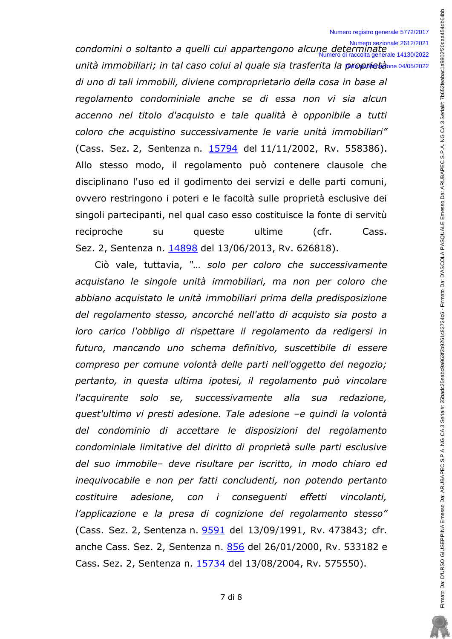#### Numero registro generale 5772/2017

condomini o soltanto a quelli cui appartengono alcune determinate unità immobiliari; in tal caso colui al quale sia trasferita la proprietà ne 04/05/2022 di uno di tali immobili, diviene comproprietario della cosa in base al regolamento condominiale anche se di essa non vi sia alcun accenno nel titolo d'acquisto e tale qualità è opponibile a tutti coloro che acquistino successivamente le varie unità immobiliari" (Cass. Sez. 2, Sentenza n. 15794 del 11/11/2002, Rv. 558386). Allo stesso modo, il regolamento può contenere clausole che disciplinano l'uso ed il godimento dei servizi e delle parti comuni, ovvero restringono i poteri e le facoltà sulle proprietà esclusive dei singoli partecipanti, nel qual caso esso costituisce la fonte di servitù reciproche su queste ultime  $(cfr.$ Cass. Sez. 2, Sentenza n. 14898 del 13/06/2013, Rv. 626818).

Ciò vale, tuttavia, "... solo per coloro che successivamente acquistano le singole unità immobiliari, ma non per coloro che abbiano acquistato le unità immobiliari prima della predisposizione del regolamento stesso, ancorché nell'atto di acquisto sia posto a loro carico l'obbligo di rispettare il regolamento da redigersi in futuro, mancando uno schema definitivo, suscettibile di essere compreso per comune volontà delle parti nell'oggetto del negozio; pertanto, in questa ultima ipotesi, il regolamento può vincolare successivamente alla redazione, l'acquirente solo se, sua quest'ultimo vi presti adesione. Tale adesione -e quindi la volontà del condominio di accettare le disposizioni del regolamento condominiale limitative del diritto di proprietà sulle parti esclusive del suo immobile- deve risultare per iscritto, in modo chiaro ed inequivocabile e non per fatti concludenti, non potendo pertanto costituire adesione, con i consequenti effetti vincolanti, l'applicazione e la presa di cognizione del regolamento stesso" (Cass. Sez. 2, Sentenza n. 9591 del 13/09/1991, Rv. 473843; cfr. anche Cass. Sez. 2, Sentenza n. 856 del 26/01/2000, Rv. 533182 e Cass. Sez. 2, Sentenza n. 15734 del 13/08/2004, Rv. 575550).